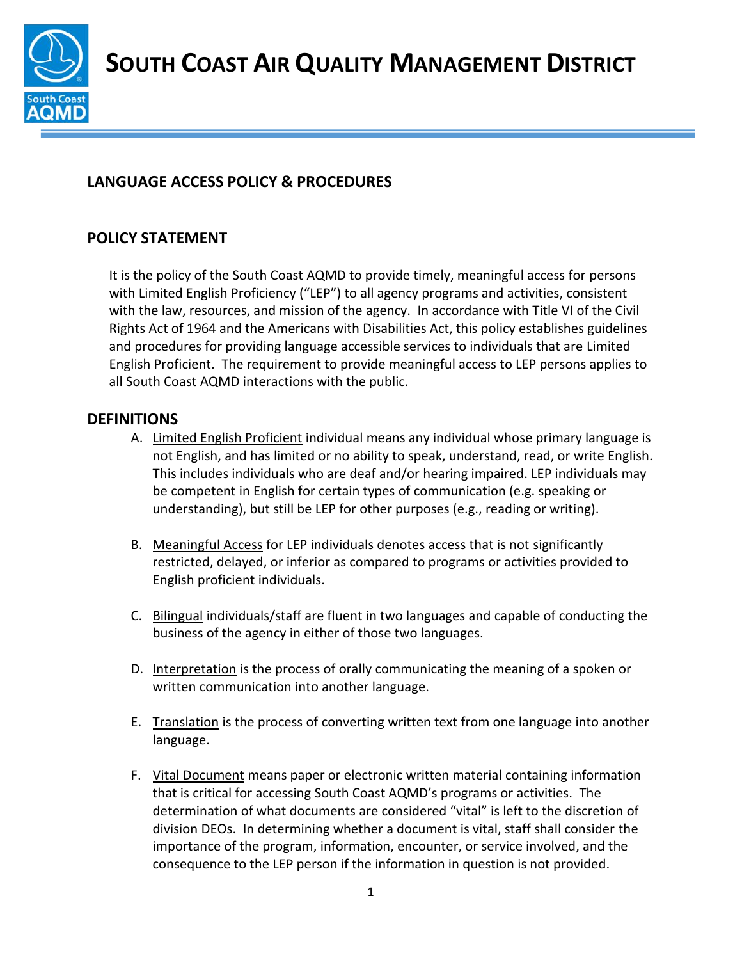

**SOUTH COAST AIR QUALITY MANAGEMENT DISTRICT**

# **LANGUAGE ACCESS POLICY & PROCEDURES**

## **POLICY STATEMENT**

It is the policy of the South Coast AQMD to provide timely, meaningful access for persons with Limited English Proficiency ("LEP") to all agency programs and activities, consistent with the law, resources, and mission of the agency. In accordance with Title VI of the Civil Rights Act of 1964 and the Americans with Disabilities Act, this policy establishes guidelines and procedures for providing language accessible services to individuals that are Limited English Proficient. The requirement to provide meaningful access to LEP persons applies to all South Coast AQMD interactions with the public.

#### **DEFINITIONS**

- A. Limited English Proficient individual means any individual whose primary language is not English, and has limited or no ability to speak, understand, read, or write English. This includes individuals who are deaf and/or hearing impaired. LEP individuals may be competent in English for certain types of communication (e.g. speaking or understanding), but still be LEP for other purposes (e.g., reading or writing).
- B. Meaningful Access for LEP individuals denotes access that is not significantly restricted, delayed, or inferior as compared to programs or activities provided to English proficient individuals.
- C. Bilingual individuals/staff are fluent in two languages and capable of conducting the business of the agency in either of those two languages.
- D. Interpretation is the process of orally communicating the meaning of a spoken or written communication into another language.
- E. Translation is the process of converting written text from one language into another language.
- F. Vital Document means paper or electronic written material containing information that is critical for accessing South Coast AQMD's programs or activities. The determination of what documents are considered "vital" is left to the discretion of division DEOs. In determining whether a document is vital, staff shall consider the importance of the program, information, encounter, or service involved, and the consequence to the LEP person if the information in question is not provided.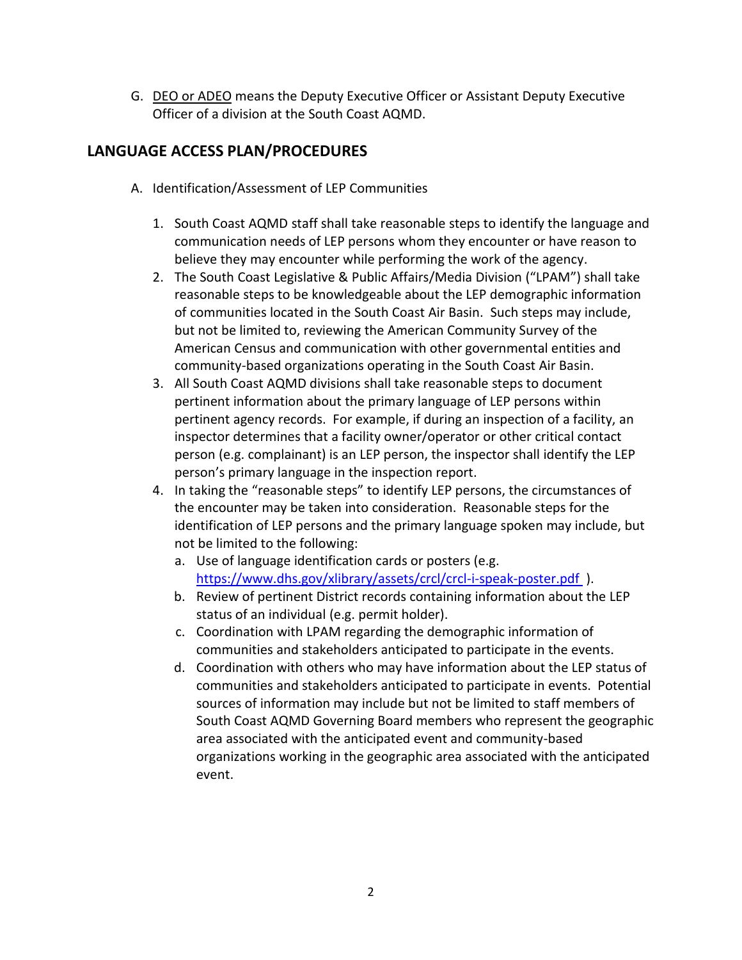G. DEO or ADEO means the Deputy Executive Officer or Assistant Deputy Executive Officer of a division at the South Coast AQMD.

## **LANGUAGE ACCESS PLAN/PROCEDURES**

- A. Identification/Assessment of LEP Communities
	- 1. South Coast AQMD staff shall take reasonable steps to identify the language and communication needs of LEP persons whom they encounter or have reason to believe they may encounter while performing the work of the agency.
	- 2. The South Coast Legislative & Public Affairs/Media Division ("LPAM") shall take reasonable steps to be knowledgeable about the LEP demographic information of communities located in the South Coast Air Basin. Such steps may include, but not be limited to, reviewing the American Community Survey of the American Census and communication with other governmental entities and community-based organizations operating in the South Coast Air Basin.
	- 3. All South Coast AQMD divisions shall take reasonable steps to document pertinent information about the primary language of LEP persons within pertinent agency records. For example, if during an inspection of a facility, an inspector determines that a facility owner/operator or other critical contact person (e.g. complainant) is an LEP person, the inspector shall identify the LEP person's primary language in the inspection report.
	- 4. In taking the "reasonable steps" to identify LEP persons, the circumstances of the encounter may be taken into consideration. Reasonable steps for the identification of LEP persons and the primary language spoken may include, but not be limited to the following:
		- a. Use of language identification cards or posters (e.g. <https://www.dhs.gov/xlibrary/assets/crcl/crcl-i-speak-poster.pdf> ).
		- b. Review of pertinent District records containing information about the LEP status of an individual (e.g. permit holder).
		- c. Coordination with LPAM regarding the demographic information of communities and stakeholders anticipated to participate in the events.
		- d. Coordination with others who may have information about the LEP status of communities and stakeholders anticipated to participate in events. Potential sources of information may include but not be limited to staff members of South Coast AQMD Governing Board members who represent the geographic area associated with the anticipated event and community-based organizations working in the geographic area associated with the anticipated event.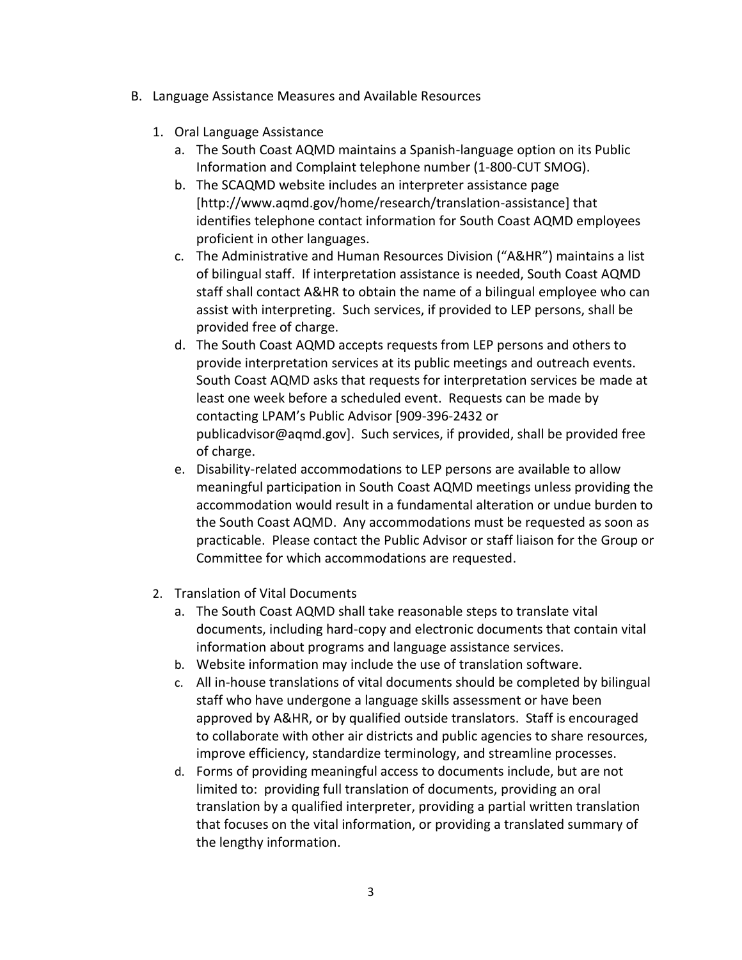- B. Language Assistance Measures and Available Resources
	- 1. Oral Language Assistance
		- a. The South Coast AQMD maintains a Spanish-language option on its Public Information and Complaint telephone number (1-800-CUT SMOG).
		- b. The SCAQMD website includes an interpreter assistance page [http://www.aqmd.gov/home/research/translation-assistance] that identifies telephone contact information for South Coast AQMD employees proficient in other languages.
		- c. The Administrative and Human Resources Division ("A&HR") maintains a list of bilingual staff. If interpretation assistance is needed, South Coast AQMD staff shall contact A&HR to obtain the name of a bilingual employee who can assist with interpreting. Such services, if provided to LEP persons, shall be provided free of charge.
		- d. The South Coast AQMD accepts requests from LEP persons and others to provide interpretation services at its public meetings and outreach events. South Coast AQMD asks that requests for interpretation services be made at least one week before a scheduled event. Requests can be made by contacting LPAM's Public Advisor [909-396-2432 or publicadvisor@aqmd.gov]. Such services, if provided, shall be provided free of charge.
		- e. Disability-related accommodations to LEP persons are available to allow meaningful participation in South Coast AQMD meetings unless providing the accommodation would result in a fundamental alteration or undue burden to the South Coast AQMD. Any accommodations must be requested as soon as practicable. Please contact the Public Advisor or staff liaison for the [Group or](http://www.aqmd.gov/nav/about/groups-committees)  [Committee](http://www.aqmd.gov/nav/about/groups-committees) for which accommodations are requested.
	- 2. Translation of Vital Documents
		- a. The South Coast AQMD shall take reasonable steps to translate vital documents, including hard-copy and electronic documents that contain vital information about programs and language assistance services.
		- b. Website information may include the use of translation software.
		- c. All in-house translations of vital documents should be completed by bilingual staff who have undergone a language skills assessment or have been approved by A&HR, or by qualified outside translators. Staff is encouraged to collaborate with other air districts and public agencies to share resources, improve efficiency, standardize terminology, and streamline processes.
		- d. Forms of providing meaningful access to documents include, but are not limited to: providing full translation of documents, providing an oral translation by a qualified interpreter, providing a partial written translation that focuses on the vital information, or providing a translated summary of the lengthy information.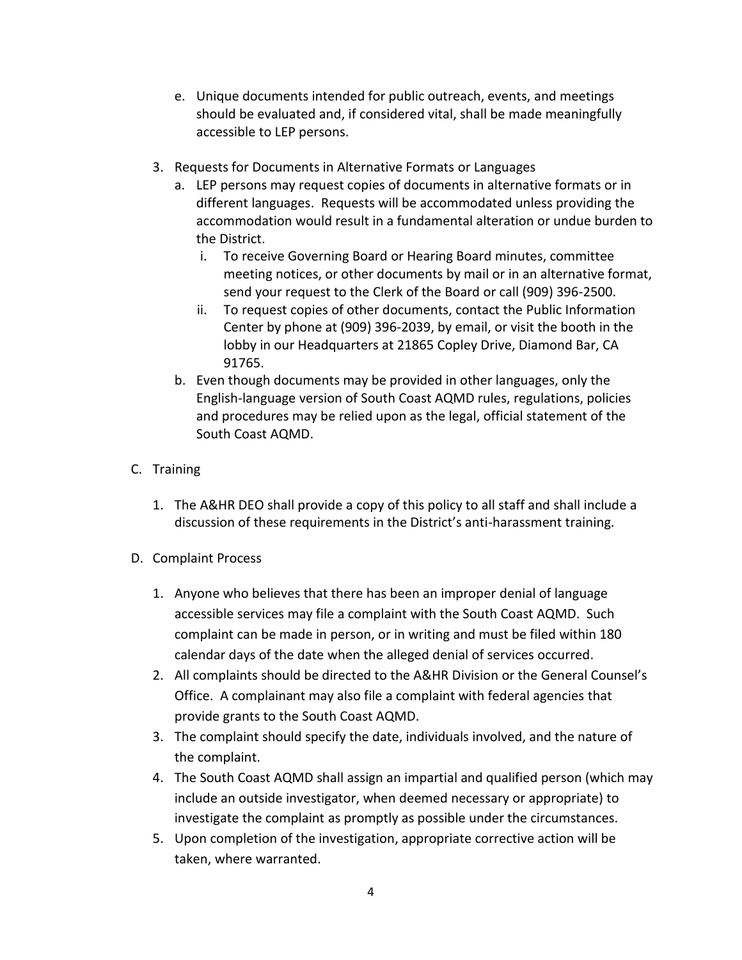- e. Unique documents intended for public outreach, events, and meetings should be evaluated and, if considered vital, shall be made meaningfully accessible to LEP persons.
- 3. Requests for Documents in Alternative Formats or Languages
	- a. LEP persons may request copies of documents in alternative formats or in different languages. Requests will be accommodated unless providing the accommodation would result in a fundamental alteration or undue burden to the District.
		- i. To receive [Governing Board](http://www.aqmd.gov/nav/about/governing-board) o[r Hearing Board](http://www.aqmd.gov/nav/about/hearing-board) minutes, committee meeting notices, or other documents by mail or in an alternative format, send your request to the [Clerk of the Board](mailto:cob@aqmd.gov) or call (909) 396-2500.
		- ii. To request copies of other documents, contact the [Public Information](http://www.aqmd.gov/home/research/onsite-services/public-information-center)  [Center](http://www.aqmd.gov/home/research/onsite-services/public-information-center) by phone at (909) 396-2039, by [email,](mailto:PicRequests@aqmd.gov) or visit the booth in the lobby in our Headquarters at 21865 Copley Drive, Diamond Bar, CA 91765.
	- b. Even though documents may be provided in other languages, only the English-language version of South Coast AQMD rules, regulations, policies and procedures may be relied upon as the legal, official statement of the South Coast AQMD.

#### C. Training

- 1. The A&HR DEO shall provide a copy of this policy to all staff and shall include a discussion of these requirements in the District's anti-harassment training.
- D. Complaint Process
	- 1. Anyone who believes that there has been an improper denial of language accessible services may file a complaint with the South Coast AQMD. Such complaint can be made in person, or in writing and must be filed within 180 calendar days of the date when the alleged denial of services occurred.
	- 2. All complaints should be directed to the A&HR Division or the General Counsel's Office. A complainant may also file a complaint with federal agencies that provide grants to the South Coast AQMD.
	- 3. The complaint should specify the date, individuals involved, and the nature of the complaint.
	- 4. The South Coast AQMD shall assign an impartial and qualified person (which may include an outside investigator, when deemed necessary or appropriate) to investigate the complaint as promptly as possible under the circumstances.
	- 5. Upon completion of the investigation, appropriate corrective action will be taken, where warranted.